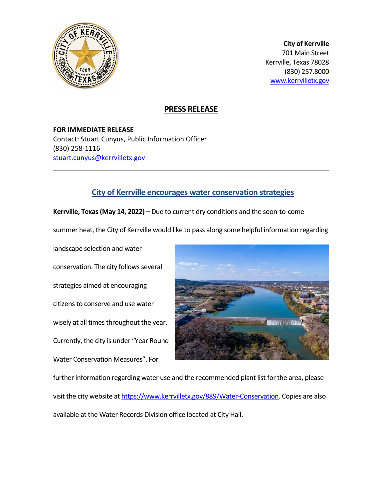

**City of Kerrville** 701 Main Street Kerrville, Texas 78028 (830) 257.8000 [www.kerrvilletx.gov](http://www.kerrvilletx.gov/) 

## **PRESS RELEASE**

**FOR IMMEDIATE RELEASE** Contact: Stuart Cunyus, Public Information Officer (830) 258-1116 [stuart.cunyus@kerrvilletx.gov](mailto:stuart.cunyus@kerrvilletx.gov) 

## **City of Kerrville encourages water conservation strategies**

**Kerrville, Texas (May 14, 2022) –** Due to current dry conditions and the soon-to-come

summer heat, the City of Kerrville would like to pass along some helpful information regarding

landscape selection and water conservation. The city follows several strategies aimed at encouraging citizens to conserve and use water wisely at all times throughout the year. Currently, the city is under "Year Round Water Conservation Measures". For



further information regarding water use and the recommended plant list for the area, please visit the city website at [https://www.kerrvilletx.gov/889/Water-Conservation.](https://www.kerrvilletx.gov/889/Water-Conservation) Copies are also available at the Water Records Division office located at City Hall.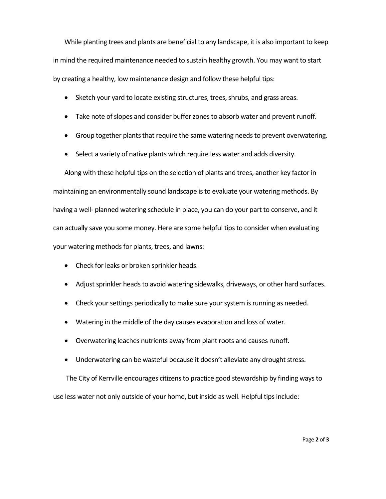While planting trees and plants are beneficial to any landscape, it is also important to keep in mind the required maintenance needed to sustain healthy growth. You may want to start by creating a healthy, low maintenance design and follow these helpful tips:

- Sketch your yard to locate existing structures, trees, shrubs, and grass areas.
- Take note of slopes and consider buffer zones to absorb water and prevent runoff.
- Group together plants that require the same watering needs to prevent overwatering.
- Select a variety of native plants which require less water and adds diversity.

Along with these helpful tips on the selection of plants and trees, another key factor in maintaining an environmentally sound landscape is to evaluate your watering methods. By having a well- planned watering schedule in place, you can do your part to conserve, and it can actually save you some money. Here are some helpful tips to consider when evaluating your watering methods for plants, trees, and lawns:

- Check for leaks or broken sprinkler heads.
- Adjust sprinkler heads to avoid watering sidewalks, driveways, or other hard surfaces.
- Check your settings periodically to make sure your system is running as needed.
- Watering in the middle of the day causes evaporation and loss of water.
- Overwatering leaches nutrients away from plant roots and causes runoff.
- Underwatering can be wasteful because it doesn't alleviate any drought stress.

The City of Kerrville encourages citizens to practice good stewardship by finding ways to use less water not only outside of your home, but inside as well. Helpful tips include: